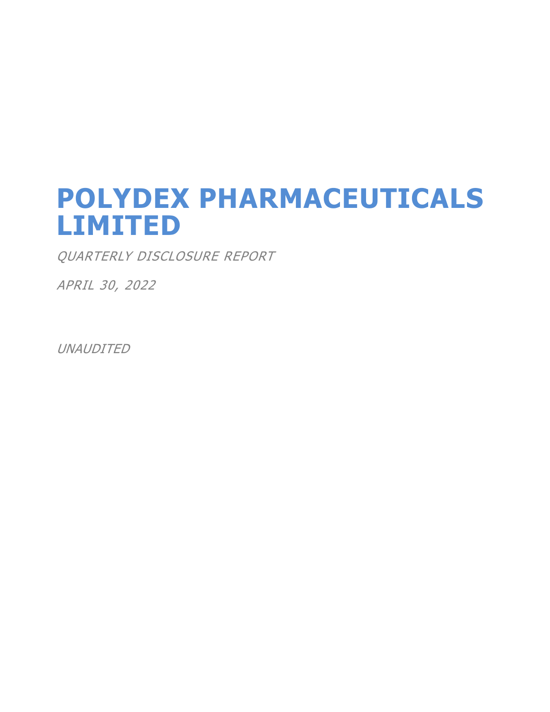# **POLYDEX PHARMACEUTICALS LIMITED**

QUARTERLY DISCLOSURE REPORT

APRIL 30, 2022

UNAUDITED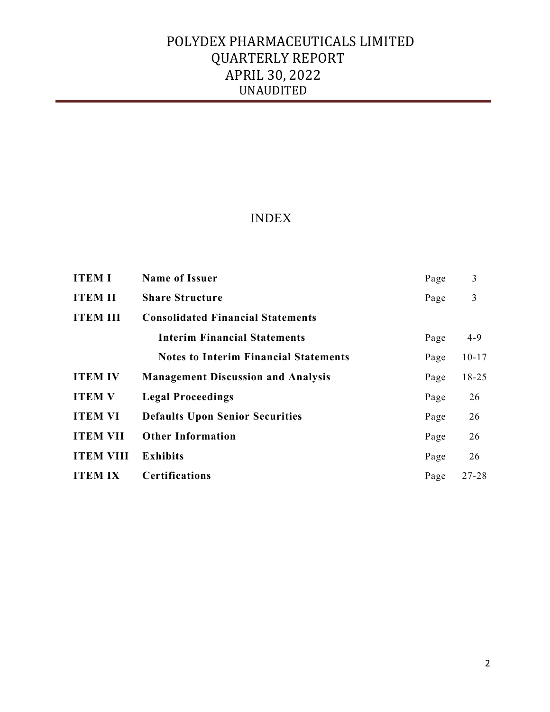## INDEX

| <b>ITEM I</b>    | <b>Name of Issuer</b>                        | Page | 3         |
|------------------|----------------------------------------------|------|-----------|
| <b>ITEM II</b>   | <b>Share Structure</b>                       | Page | 3         |
| <b>ITEM III</b>  | <b>Consolidated Financial Statements</b>     |      |           |
|                  | <b>Interim Financial Statements</b>          | Page | $4-9$     |
|                  | <b>Notes to Interim Financial Statements</b> | Page | $10 - 17$ |
| <b>ITEM IV</b>   | <b>Management Discussion and Analysis</b>    | Page | $18 - 25$ |
| <b>ITEM V</b>    | <b>Legal Proceedings</b>                     | Page | 26        |
| <b>ITEM VI</b>   | <b>Defaults Upon Senior Securities</b>       | Page | 26        |
| <b>ITEM VII</b>  | <b>Other Information</b>                     | Page | 26        |
| <b>ITEM VIII</b> | <b>Exhibits</b>                              | Page | 26        |
| <b>ITEM IX</b>   | <b>Certifications</b>                        | Page | $27 - 28$ |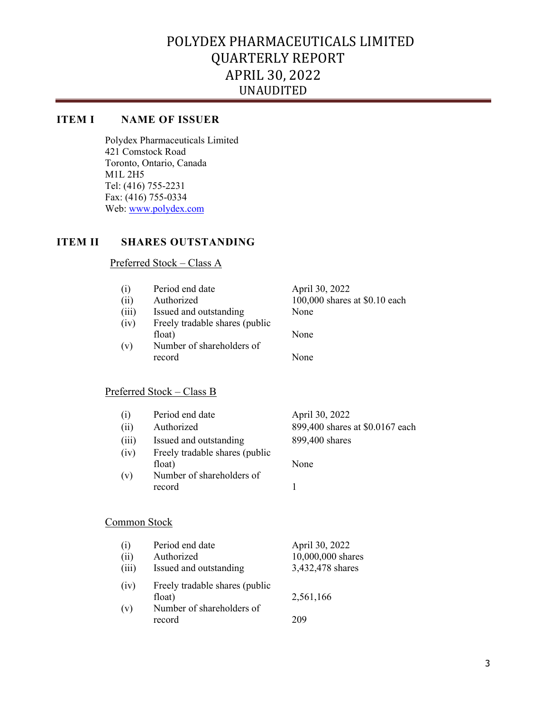## **ITEM I NAME OF ISSUER**

Polydex Pharmaceuticals Limited 421 Comstock Road Toronto, Ontario, Canada M1L 2H5 Tel: (416) 755-2231 Fax: (416) 755-0334 Web: www.polydex.com

## **ITEM II SHARES OUTSTANDING**

## Preferred Stock – Class A

| (i)<br>(ii)<br>(iii)<br>(iv)<br>(v) | Period end date<br>Authorized<br>Issued and outstanding<br>Freely tradable shares (public<br>float)<br>Number of shareholders of<br>record | April 30, 2022<br>100,000 shares at \$0.10 each<br>None<br>None<br>None |
|-------------------------------------|--------------------------------------------------------------------------------------------------------------------------------------------|-------------------------------------------------------------------------|
|                                     |                                                                                                                                            |                                                                         |
|                                     | Preferred Stock – Class B                                                                                                                  |                                                                         |
| (i)                                 | Period end date                                                                                                                            | April 30, 2022                                                          |
| (ii)                                | Authorized                                                                                                                                 | 899,400 shares at \$0.0167 each                                         |
| (iii)                               | Issued and outstanding                                                                                                                     | 899,400 shares                                                          |
| (iv)                                | Freely tradable shares (public                                                                                                             |                                                                         |
| (v)                                 | float)<br>Number of shareholders of                                                                                                        | None                                                                    |
|                                     | record                                                                                                                                     | 1                                                                       |
| Common Stock                        |                                                                                                                                            |                                                                         |
| (i)                                 | Period end date                                                                                                                            | April 30, 2022                                                          |

| ( I J | r ei iud eild dale             | APHI $30, 2022$   |
|-------|--------------------------------|-------------------|
| (ii)  | Authorized                     | 10,000,000 shares |
| (iii) | Issued and outstanding         | 3,432,478 shares  |
| (iv)  | Freely tradable shares (public |                   |
|       | float)                         | 2,561,166         |
| (v)   | Number of shareholders of      |                   |
|       | record                         | 209               |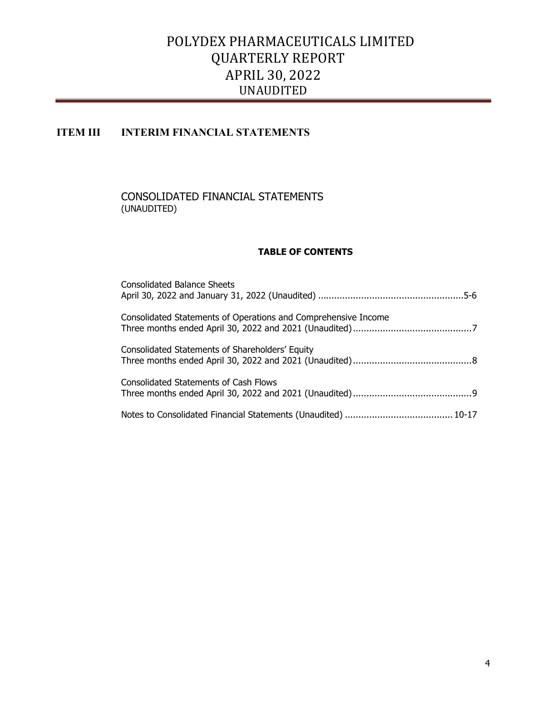## **ITEM III INTERIM FINANCIAL STATEMENTS**

#### CONSOLIDATED FINANCIAL STATEMENTS (UNAUDITED)

#### **TABLE OF CONTENTS**

| <b>Consolidated Balance Sheets</b>                             |
|----------------------------------------------------------------|
| Consolidated Statements of Operations and Comprehensive Income |
| Consolidated Statements of Shareholders' Equity                |
| <b>Consolidated Statements of Cash Flows</b>                   |
|                                                                |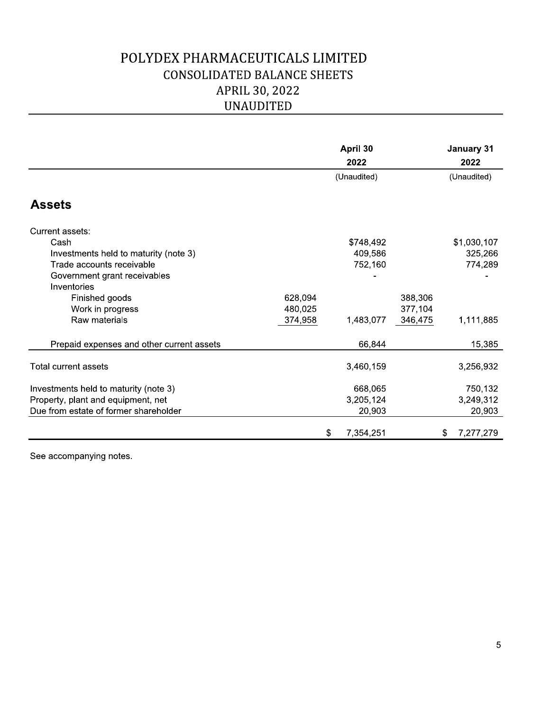## POLYDEX PHARMACEUTICALS LIMITED CONSOLIDATED BALANCE SHEETS APRIL 30, 2022 **UNAUDITED**

|                                             | <b>UNAUDITED</b> |                  |         |                    |
|---------------------------------------------|------------------|------------------|---------|--------------------|
|                                             |                  | April 30<br>2022 |         | January 31<br>2022 |
|                                             |                  | (Unaudited)      |         | (Unaudited)        |
| <b>Assets</b>                               |                  |                  |         |                    |
| Current assets:                             |                  |                  |         |                    |
| Cash                                        |                  | \$748,492        |         | \$1,030,107        |
| Investments held to maturity (note 3)       |                  | 409,586          |         | 325,266            |
| Trade accounts receivable                   |                  | 752,160          |         | 774,289            |
| Government grant receivables<br>Inventories |                  |                  |         |                    |
| Finished goods                              | 628,094          |                  | 388,306 |                    |
| Work in progress                            | 480,025          |                  | 377,104 |                    |
| Raw materials                               | 374,958          | 1,483,077        | 346,475 | 1,111,885          |
| Prepaid expenses and other current assets   |                  | 66,844           |         | 15,385             |
| Total current assets                        |                  | 3,460,159        |         | 3,256,932          |
| Investments held to maturity (note 3)       |                  | 668,065          |         | 750,132            |
| Property, plant and equipment, net          |                  | 3,205,124        |         | 3,249,312          |
| Due from estate of former shareholder       |                  | 20,903           |         | 20,903             |
|                                             |                  | \$<br>7,354,251  |         | 7,277,279<br>\$.   |

See accompanying notes.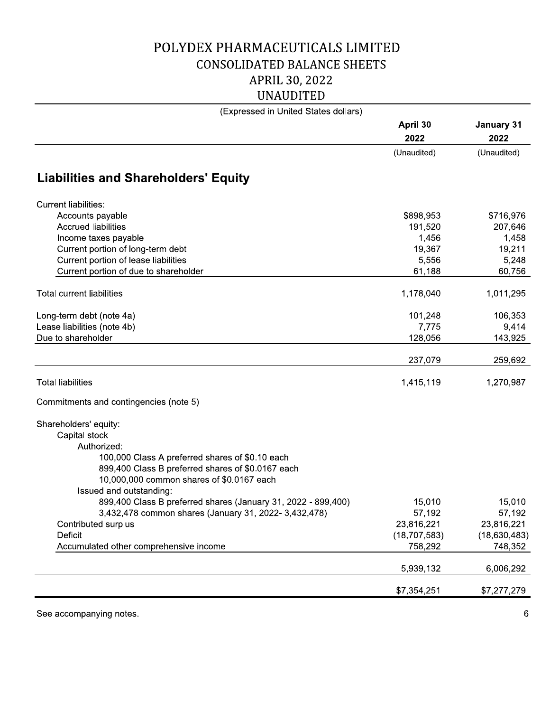## POLYDEX PHARMACEUTICALS LIMITED CONSOLIDATED BALANCE SHEETS APRIL 30, 2022

| APRIL 30, 2022                                                                |                  |                    |
|-------------------------------------------------------------------------------|------------------|--------------------|
| <b>UNAUDITED</b>                                                              |                  |                    |
| (Expressed in United States dollars)                                          |                  |                    |
|                                                                               | April 30<br>2022 | January 31<br>2022 |
|                                                                               | (Unaudited)      | (Unaudited)        |
| <b>Liabilities and Shareholders' Equity</b>                                   |                  |                    |
| <b>Current liabilities:</b>                                                   |                  |                    |
| Accounts payable                                                              | \$898,953        | \$716,976          |
| <b>Accrued liabilities</b>                                                    | 191,520          | 207,646            |
| Income taxes payable                                                          | 1,456            | 1,458              |
| Current portion of long-term debt                                             | 19,367           | 19,211             |
| Current portion of lease liabilities<br>Current portion of due to shareholder | 5,556<br>61,188  | 5,248<br>60,756    |
|                                                                               |                  |                    |
| <b>Total current liabilities</b>                                              | 1,178,040        | 1,011,295          |
| Long-term debt (note 4a)                                                      | 101,248          | 106,353            |
| Lease liabilities (note 4b)                                                   | 7,775            | 9,414              |
| Due to shareholder                                                            | 128,056          | 143,925            |
|                                                                               | 237,079          | 259,692            |
| <b>Total liabilities</b>                                                      | 1,415,119        | 1,270,987          |
| Commitments and contingencies (note 5)                                        |                  |                    |
|                                                                               |                  |                    |
| Shareholders' equity:                                                         |                  |                    |
| Capital stock<br>Authorized:                                                  |                  |                    |
| 100,000 Class A preferred shares of \$0.10 each                               |                  |                    |
| 899,400 Class B preferred shares of \$0.0167 each                             |                  |                    |
| 10,000,000 common shares of \$0.0167 each                                     |                  |                    |
| Issued and outstanding:                                                       |                  |                    |
| 899,400 Class B preferred shares (January 31, 2022 - 899,400)                 | 15,010           | 15,010             |
| 3,432,478 common shares (January 31, 2022- 3,432,478)                         | 57,192           | 57,192             |
| Contributed surplus                                                           | 23,816,221       | 23,816,221         |
| Deficit                                                                       | (18, 707, 583)   | (18,630,483)       |
| Accumulated other comprehensive income                                        | 758,292          | 748,352            |
|                                                                               | 5,939,132        | 6,006,292          |
|                                                                               | \$7,354,251      | \$7,277,279        |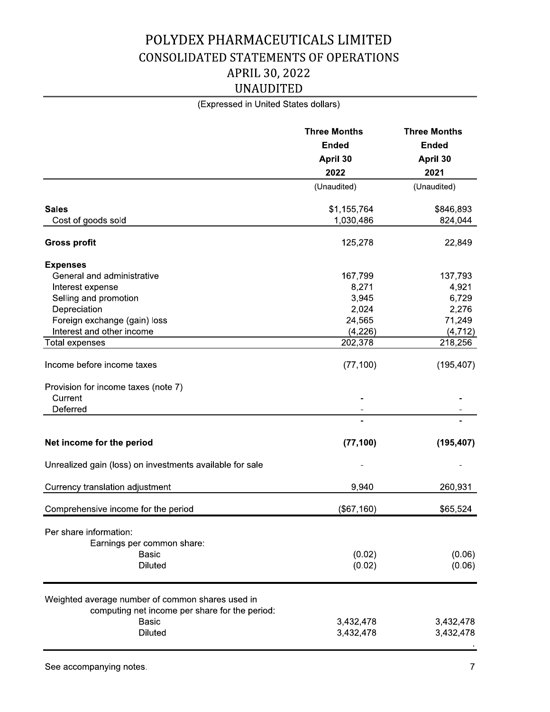# POLYDEX PHARMACEUTICALS LIMITED CONSOLIDATED STATEMENTS OF OPERATIONS APRIL 30, 2022<br>UNAUDITED

| POLYDEX PHARMACEUTICALS LIMITED                                |                                     |                                     |
|----------------------------------------------------------------|-------------------------------------|-------------------------------------|
| <b>CONSOLIDATED STATEMENTS OF OPERATIONS</b>                   |                                     |                                     |
| APRIL 30, 2022                                                 |                                     |                                     |
| <b>UNAUDITED</b>                                               |                                     |                                     |
| (Expressed in United States dollars)                           |                                     |                                     |
|                                                                | <b>Three Months</b><br><b>Ended</b> | <b>Three Months</b><br><b>Ended</b> |
|                                                                | April 30                            | April 30                            |
|                                                                | 2022                                | 2021                                |
|                                                                | (Unaudited)                         | (Unaudited)                         |
| <b>Sales</b><br>Cost of goods sold                             | \$1,155,764<br>1,030,486            | \$846,893<br>824,044                |
| <b>Gross profit</b>                                            | 125,278                             | 22,849                              |
| <b>Expenses</b>                                                |                                     |                                     |
| General and administrative                                     | 167,799                             | 137,793                             |
| Interest expense                                               | 8,271                               | 4,921                               |
| Selling and promotion                                          | 3,945                               | 6,729                               |
| Depreciation                                                   | 2,024                               | 2,276                               |
| Foreign exchange (gain) loss                                   | 24,565                              | 71,249                              |
| Interest and other income                                      | (4, 226)                            | (4, 712)                            |
| <b>Total expenses</b>                                          | 202,378                             | 218,256                             |
| Income before income taxes                                     | (77, 100)                           | (195, 407)                          |
| Provision for income taxes (note 7)                            |                                     |                                     |
| Current<br>Deferred                                            |                                     |                                     |
|                                                                |                                     |                                     |
| Net income for the period                                      | (77, 100)                           | (195, 407)                          |
|                                                                |                                     |                                     |
| Unrealized gain (loss) on investments available for sale       |                                     |                                     |
| Currency translation adjustment                                | 9,940                               | 260,931                             |
| Comprehensive income for the period                            | (\$67,160)                          | \$65,524                            |
| Per share information:                                         |                                     |                                     |
| Earnings per common share:                                     |                                     |                                     |
| <b>Basic</b>                                                   | (0.02)                              | (0.06)                              |
| <b>Diluted</b>                                                 | (0.02)                              | (0.06)                              |
| Weighted average number of common shares used in               |                                     |                                     |
| computing net income per share for the period:<br><b>Basic</b> | 3,432,478                           | 3,432,478                           |
| <b>Diluted</b>                                                 | 3,432,478                           | 3,432,478                           |
|                                                                |                                     |                                     |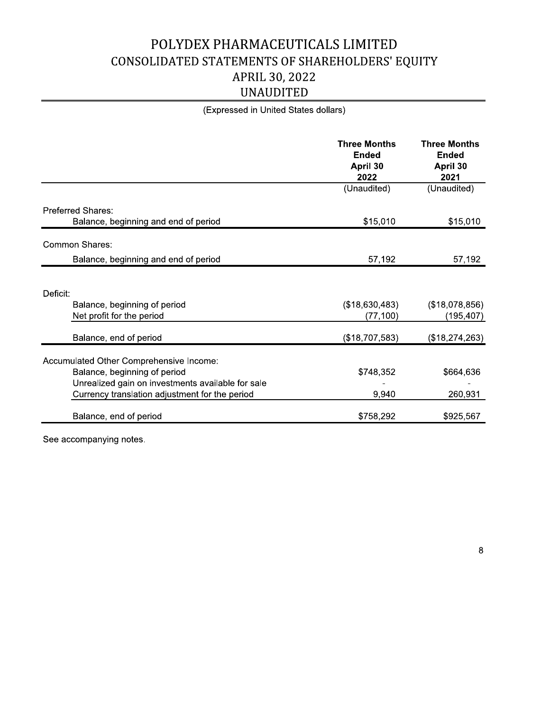# POLYDEX PHARMACEUTICALS LIMITED

| POLYDEX PHARMACEUTICALS LIMITED                                                                                              |                                                         |                                                         |
|------------------------------------------------------------------------------------------------------------------------------|---------------------------------------------------------|---------------------------------------------------------|
| CONSOLIDATED STATEMENTS OF SHAREHOLDERS' EQUITY                                                                              |                                                         |                                                         |
| APRIL 30, 2022                                                                                                               |                                                         |                                                         |
| <b>UNAUDITED</b>                                                                                                             |                                                         |                                                         |
| (Expressed in United States dollars)                                                                                         |                                                         |                                                         |
|                                                                                                                              | <b>Three Months</b><br><b>Ended</b><br>April 30<br>2022 | <b>Three Months</b><br><b>Ended</b><br>April 30<br>2021 |
|                                                                                                                              | (Unaudited)                                             | (Unaudited)                                             |
| Preferred Shares:<br>Balance, beginning and end of period                                                                    | \$15,010                                                | \$15,010                                                |
| <b>Common Shares:</b>                                                                                                        |                                                         |                                                         |
| Balance, beginning and end of period                                                                                         | 57,192                                                  | 57,192                                                  |
|                                                                                                                              |                                                         |                                                         |
| Deficit:<br>Balance, beginning of period<br>Net profit for the period                                                        | (\$18,630,483)<br>(77, 100)                             | (\$18,078,856)<br>(195, 407)                            |
| Balance, end of period                                                                                                       | (\$18,707,583)                                          | (\$18,274,263)                                          |
| Accumulated Other Comprehensive Income:<br>Balance, beginning of period<br>Unrealized gain on investments available for sale | \$748,352                                               | \$664,636                                               |
| Currency translation adjustment for the period                                                                               | 9,940                                                   | 260,931                                                 |
| Balance, end of period                                                                                                       | \$758,292                                               | \$925,567                                               |

See accompanying notes.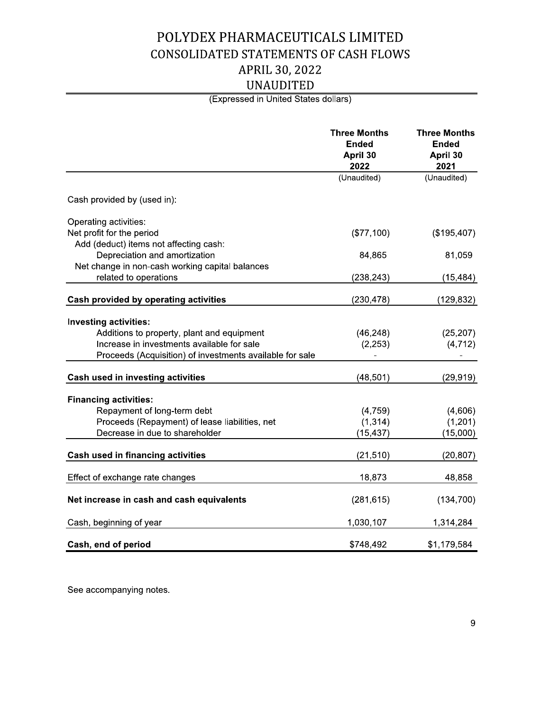## POLYDEX PHARMACEUTICALS LIMITED **CONSOLIDATED STATEMENTS OF CASH FLOWS** APRIL 30, 2022<br>UNAUDITED

| POLYDEX PHARMACEUTICALS LIMITED                                          |                                                         |                                                         |
|--------------------------------------------------------------------------|---------------------------------------------------------|---------------------------------------------------------|
| <b>CONSOLIDATED STATEMENTS OF CASH FLOWS</b>                             |                                                         |                                                         |
| APRIL 30, 2022                                                           |                                                         |                                                         |
|                                                                          |                                                         |                                                         |
| <b>UNAUDITED</b>                                                         |                                                         |                                                         |
| (Expressed in United States dollars)                                     |                                                         |                                                         |
|                                                                          | <b>Three Months</b><br><b>Ended</b><br>April 30<br>2022 | <b>Three Months</b><br><b>Ended</b><br>April 30<br>2021 |
|                                                                          | (Unaudited)                                             | (Unaudited)                                             |
| Cash provided by (used in):                                              |                                                         |                                                         |
| Operating activities:                                                    |                                                         |                                                         |
| Net profit for the period                                                | (\$77,100)                                              | (\$195,407)                                             |
| Add (deduct) items not affecting cash:                                   |                                                         |                                                         |
| Depreciation and amortization                                            | 84,865                                                  | 81,059                                                  |
| Net change in non-cash working capital balances<br>related to operations | (238, 243)                                              |                                                         |
|                                                                          |                                                         | (15,484)                                                |
| Cash provided by operating activities                                    | (230, 478)                                              | (129,832)                                               |
| <b>Investing activities:</b>                                             |                                                         |                                                         |
| Additions to property, plant and equipment                               | (46, 248)                                               | (25, 207)                                               |
| Increase in investments available for sale                               | (2, 253)                                                | (4, 712)                                                |
| Proceeds (Acquisition) of investments available for sale                 |                                                         | ۰                                                       |
| Cash used in investing activities                                        | (48, 501)                                               | (29, 919)                                               |
|                                                                          |                                                         |                                                         |
| <b>Financing activities:</b><br>Repayment of long-term debt              | (4, 759)                                                | (4,606)                                                 |
| Proceeds (Repayment) of lease liabilities, net                           | (1, 314)                                                | (1, 201)                                                |
| Decrease in due to shareholder                                           | (15, 437)                                               | (15,000)                                                |
| <b>Cash used in financing activities</b>                                 | (21, 510)                                               | (20, 807)                                               |
|                                                                          |                                                         |                                                         |
| Effect of exchange rate changes                                          | 18,873                                                  | 48,858                                                  |
| Net increase in cash and cash equivalents                                | (281, 615)                                              | (134, 700)                                              |
| Cash, beginning of year                                                  | 1,030,107                                               | 1,314,284                                               |
| Cash, end of period                                                      | \$748,492                                               | \$1,179,584                                             |

See accompanying notes.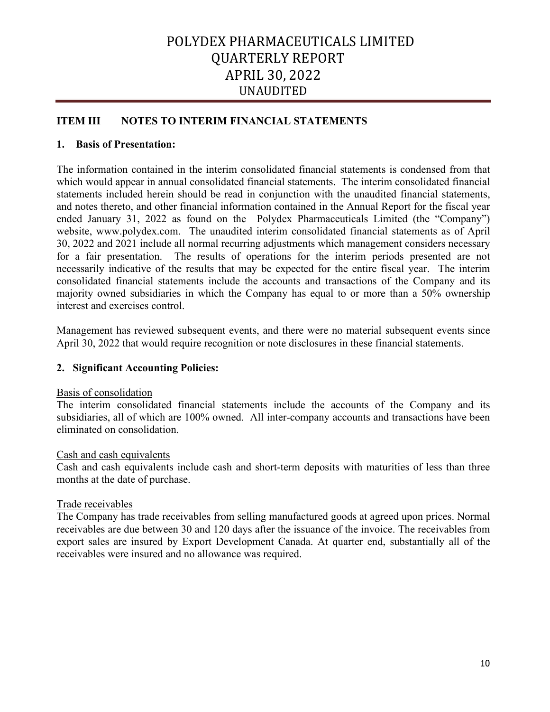## **ITEM III NOTES TO INTERIM FINANCIAL STATEMENTS**

## **1. Basis of Presentation:**

The information contained in the interim consolidated financial statements is condensed from that which would appear in annual consolidated financial statements. The interim consolidated financial statements included herein should be read in conjunction with the unaudited financial statements, and notes thereto, and other financial information contained in the Annual Report for the fiscal year ended January 31, 2022 as found on the Polydex Pharmaceuticals Limited (the "Company") website, www.polydex.com. The unaudited interim consolidated financial statements as of April 30, 2022 and 2021 include all normal recurring adjustments which management considers necessary for a fair presentation. The results of operations for the interim periods presented are not necessarily indicative of the results that may be expected for the entire fiscal year. The interim consolidated financial statements include the accounts and transactions of the Company and its majority owned subsidiaries in which the Company has equal to or more than a 50% ownership interest and exercises control.

Management has reviewed subsequent events, and there were no material subsequent events since April 30, 2022 that would require recognition or note disclosures in these financial statements.

## **2. Significant Accounting Policies:**

## Basis of consolidation

The interim consolidated financial statements include the accounts of the Company and its subsidiaries, all of which are 100% owned. All inter-company accounts and transactions have been eliminated on consolidation.

## Cash and cash equivalents

Cash and cash equivalents include cash and short-term deposits with maturities of less than three months at the date of purchase.

## Trade receivables

The Company has trade receivables from selling manufactured goods at agreed upon prices. Normal receivables are due between 30 and 120 days after the issuance of the invoice. The receivables from export sales are insured by Export Development Canada. At quarter end, substantially all of the receivables were insured and no allowance was required.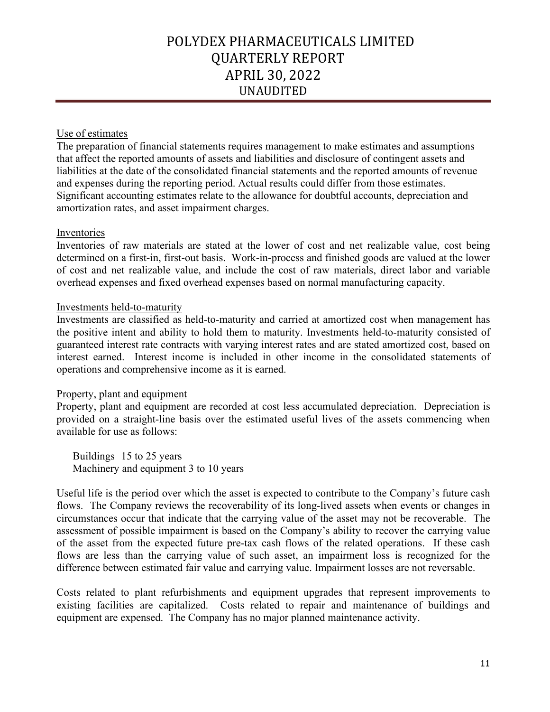## Use of estimates

The preparation of financial statements requires management to make estimates and assumptions that affect the reported amounts of assets and liabilities and disclosure of contingent assets and liabilities at the date of the consolidated financial statements and the reported amounts of revenue and expenses during the reporting period. Actual results could differ from those estimates. Significant accounting estimates relate to the allowance for doubtful accounts, depreciation and amortization rates, and asset impairment charges.

## Inventories

Inventories of raw materials are stated at the lower of cost and net realizable value, cost being determined on a first-in, first-out basis. Work-in-process and finished goods are valued at the lower of cost and net realizable value, and include the cost of raw materials, direct labor and variable overhead expenses and fixed overhead expenses based on normal manufacturing capacity.

## Investments held-to-maturity

Investments are classified as held-to-maturity and carried at amortized cost when management has the positive intent and ability to hold them to maturity. Investments held-to-maturity consisted of guaranteed interest rate contracts with varying interest rates and are stated amortized cost, based on interest earned. Interest income is included in other income in the consolidated statements of operations and comprehensive income as it is earned.

## Property, plant and equipment

Property, plant and equipment are recorded at cost less accumulated depreciation. Depreciation is provided on a straight-line basis over the estimated useful lives of the assets commencing when available for use as follows:

Buildings 15 to 25 years Machinery and equipment 3 to 10 years

Useful life is the period over which the asset is expected to contribute to the Company's future cash flows. The Company reviews the recoverability of its long-lived assets when events or changes in circumstances occur that indicate that the carrying value of the asset may not be recoverable. The assessment of possible impairment is based on the Company's ability to recover the carrying value of the asset from the expected future pre-tax cash flows of the related operations. If these cash flows are less than the carrying value of such asset, an impairment loss is recognized for the difference between estimated fair value and carrying value. Impairment losses are not reversable.

Costs related to plant refurbishments and equipment upgrades that represent improvements to existing facilities are capitalized. Costs related to repair and maintenance of buildings and equipment are expensed. The Company has no major planned maintenance activity.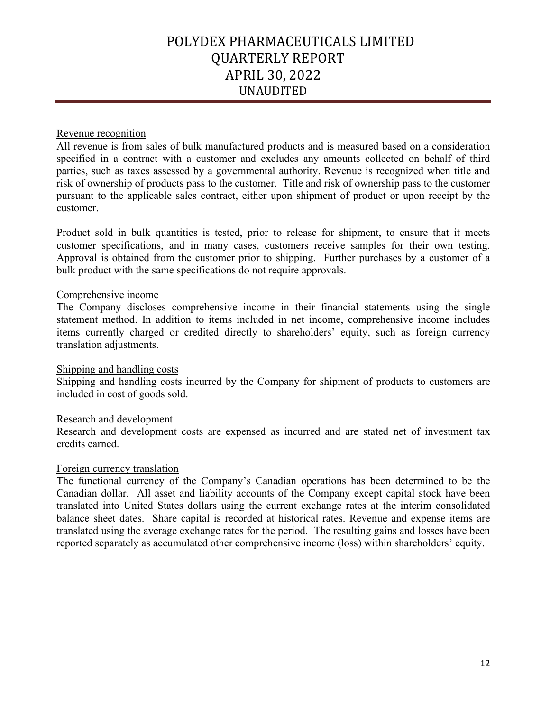## Revenue recognition

All revenue is from sales of bulk manufactured products and is measured based on a consideration specified in a contract with a customer and excludes any amounts collected on behalf of third parties, such as taxes assessed by a governmental authority. Revenue is recognized when title and risk of ownership of products pass to the customer. Title and risk of ownership pass to the customer pursuant to the applicable sales contract, either upon shipment of product or upon receipt by the customer.

Product sold in bulk quantities is tested, prior to release for shipment, to ensure that it meets customer specifications, and in many cases, customers receive samples for their own testing. Approval is obtained from the customer prior to shipping. Further purchases by a customer of a bulk product with the same specifications do not require approvals.

## Comprehensive income

The Company discloses comprehensive income in their financial statements using the single statement method. In addition to items included in net income, comprehensive income includes items currently charged or credited directly to shareholders' equity, such as foreign currency translation adjustments.

## Shipping and handling costs

Shipping and handling costs incurred by the Company for shipment of products to customers are included in cost of goods sold.

#### Research and development

Research and development costs are expensed as incurred and are stated net of investment tax credits earned.

## Foreign currency translation

The functional currency of the Company's Canadian operations has been determined to be the Canadian dollar. All asset and liability accounts of the Company except capital stock have been translated into United States dollars using the current exchange rates at the interim consolidated balance sheet dates. Share capital is recorded at historical rates. Revenue and expense items are translated using the average exchange rates for the period. The resulting gains and losses have been reported separately as accumulated other comprehensive income (loss) within shareholders' equity.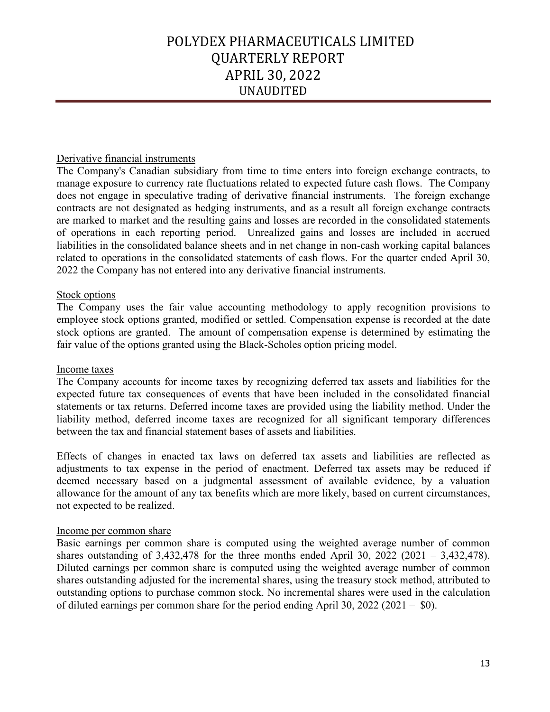## Derivative financial instruments

The Company's Canadian subsidiary from time to time enters into foreign exchange contracts, to manage exposure to currency rate fluctuations related to expected future cash flows. The Company does not engage in speculative trading of derivative financial instruments. The foreign exchange contracts are not designated as hedging instruments, and as a result all foreign exchange contracts are marked to market and the resulting gains and losses are recorded in the consolidated statements of operations in each reporting period. Unrealized gains and losses are included in accrued liabilities in the consolidated balance sheets and in net change in non-cash working capital balances related to operations in the consolidated statements of cash flows. For the quarter ended April 30, 2022 the Company has not entered into any derivative financial instruments.

#### Stock options

The Company uses the fair value accounting methodology to apply recognition provisions to employee stock options granted, modified or settled. Compensation expense is recorded at the date stock options are granted. The amount of compensation expense is determined by estimating the fair value of the options granted using the Black-Scholes option pricing model.

#### Income taxes

The Company accounts for income taxes by recognizing deferred tax assets and liabilities for the expected future tax consequences of events that have been included in the consolidated financial statements or tax returns. Deferred income taxes are provided using the liability method. Under the liability method, deferred income taxes are recognized for all significant temporary differences between the tax and financial statement bases of assets and liabilities.

Effects of changes in enacted tax laws on deferred tax assets and liabilities are reflected as adjustments to tax expense in the period of enactment. Deferred tax assets may be reduced if deemed necessary based on a judgmental assessment of available evidence, by a valuation allowance for the amount of any tax benefits which are more likely, based on current circumstances, not expected to be realized.

## Income per common share

Basic earnings per common share is computed using the weighted average number of common shares outstanding of 3,432,478 for the three months ended April 30, 2022 (2021 – 3,432,478). Diluted earnings per common share is computed using the weighted average number of common shares outstanding adjusted for the incremental shares, using the treasury stock method, attributed to outstanding options to purchase common stock. No incremental shares were used in the calculation of diluted earnings per common share for the period ending April 30, 2022 (2021 – \$0).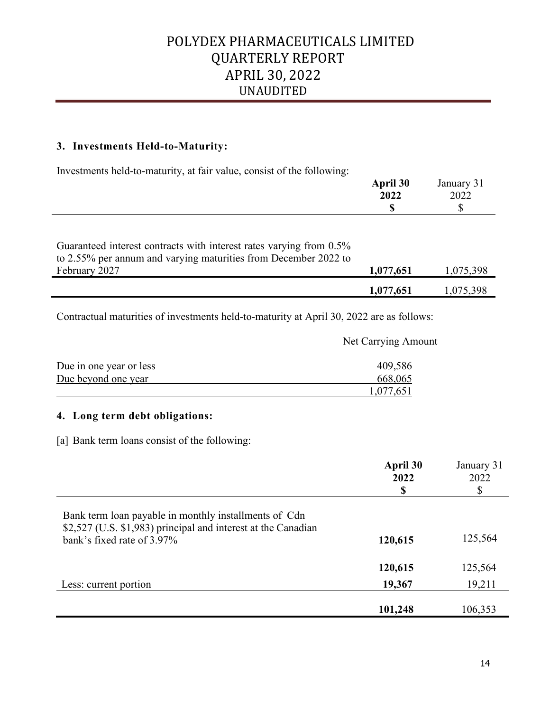## **3. Investments Held-to-Maturity:**

Investments held-to-maturity, at fair value, consist of the following:

| <b>April 30</b> | January 31 |
|-----------------|------------|
| 2022            | 2022       |
| ۱D              | دا،        |
|                 |            |

| Guaranteed interest contracts with interest rates varying from 0.5% |           |           |
|---------------------------------------------------------------------|-----------|-----------|
| to 2.55% per annum and varying maturities from December 2022 to     |           |           |
| February 2027                                                       | 1,077,651 | 1,075,398 |
|                                                                     | 1,077,651 | 1,075,398 |

Net Carrying Amount

Contractual maturities of investments held-to-maturity at April 30, 2022 are as follows:

| Due in one year or less | 409,586   |
|-------------------------|-----------|
| Due beyond one year     | 668,065   |
|                         | 1,077,651 |

## **4. Long term debt obligations:**

[a] Bank term loans consist of the following:

|                                                                                                                                                      | April 30<br>2022<br>S | January 31<br>2022<br>\$ |
|------------------------------------------------------------------------------------------------------------------------------------------------------|-----------------------|--------------------------|
| Bank term loan payable in monthly installments of Cdn<br>\$2,527 (U.S. \$1,983) principal and interest at the Canadian<br>bank's fixed rate of 3.97% | 120,615               | 125,564                  |
|                                                                                                                                                      | 120,615               | 125,564                  |
| Less: current portion                                                                                                                                | 19,367                | 19,211                   |
|                                                                                                                                                      | 101,248               | 106,353                  |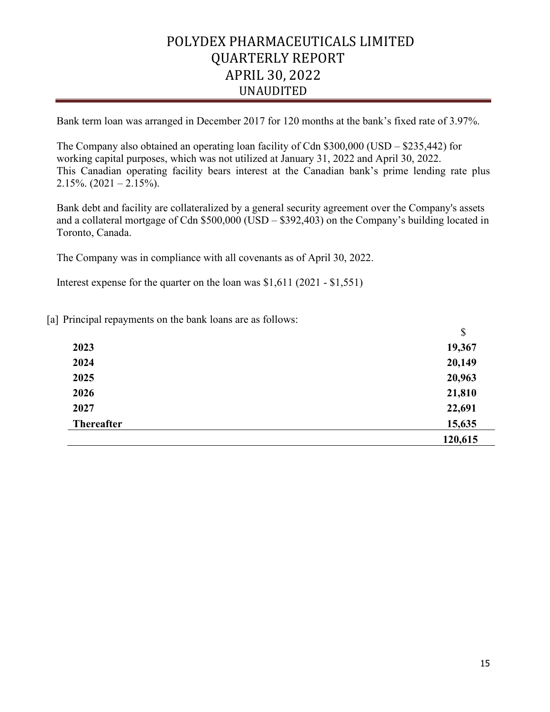Bank term loan was arranged in December 2017 for 120 months at the bank's fixed rate of 3.97%.

The Company also obtained an operating loan facility of Cdn \$300,000 (USD – \$235,442) for working capital purposes, which was not utilized at January 31, 2022 and April 30, 2022. This Canadian operating facility bears interest at the Canadian bank's prime lending rate plus 2.15%.  $(2021 - 2.15%)$ .

Bank debt and facility are collateralized by a general security agreement over the Company's assets and a collateral mortgage of Cdn \$500,000 (USD – \$392,403) on the Company's building located in Toronto, Canada.

The Company was in compliance with all covenants as of April 30, 2022.

Interest expense for the quarter on the loan was \$1,611 (2021 - \$1,551)

[a] Principal repayments on the bank loans are as follows:

|                   | \$      |
|-------------------|---------|
| 2023              | 19,367  |
| 2024              | 20,149  |
| 2025              | 20,963  |
| 2026              | 21,810  |
| 2027              | 22,691  |
| <b>Thereafter</b> | 15,635  |
|                   | 120,615 |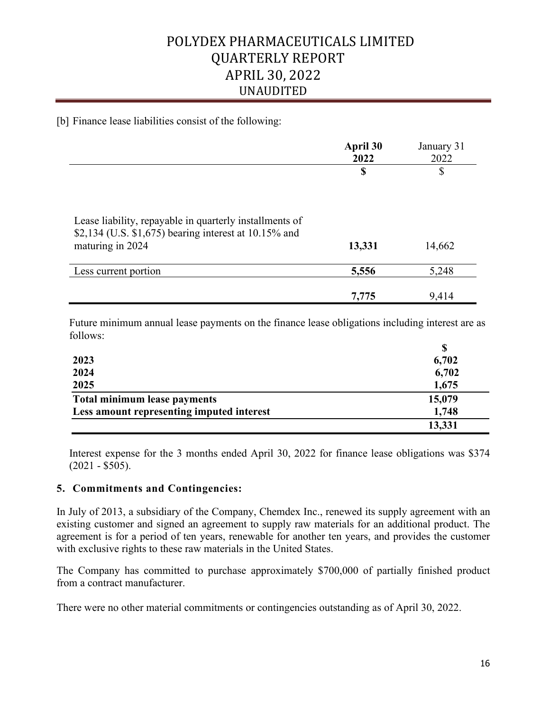[b] Finance lease liabilities consist of the following:

|                                                                                                                     | April 30<br>2022 | January 31<br>2022 |
|---------------------------------------------------------------------------------------------------------------------|------------------|--------------------|
|                                                                                                                     | \$               | \$                 |
|                                                                                                                     |                  |                    |
| Lease liability, repayable in quarterly installments of<br>\$2,134 (U.S. \$1,675) bearing interest at $10.15\%$ and |                  |                    |
| maturing in 2024                                                                                                    | 13,331           | 14,662             |
| Less current portion                                                                                                | 5,556            | 5,248              |
|                                                                                                                     | 7,775            | 9,414              |

Future minimum annual lease payments on the finance lease obligations including interest are as follows:

| 2023                                      | 6,702  |
|-------------------------------------------|--------|
| 2024                                      | 6,702  |
| 2025                                      | 1,675  |
| Total minimum lease payments              | 15,079 |
| Less amount representing imputed interest | 1,748  |
|                                           | 13,331 |

Interest expense for the 3 months ended April 30, 2022 for finance lease obligations was \$374  $(2021 - $505)$ .

## **5. Commitments and Contingencies:**

In July of 2013, a subsidiary of the Company, Chemdex Inc., renewed its supply agreement with an existing customer and signed an agreement to supply raw materials for an additional product. The agreement is for a period of ten years, renewable for another ten years, and provides the customer with exclusive rights to these raw materials in the United States.

The Company has committed to purchase approximately \$700,000 of partially finished product from a contract manufacturer.

There were no other material commitments or contingencies outstanding as of April 30, 2022.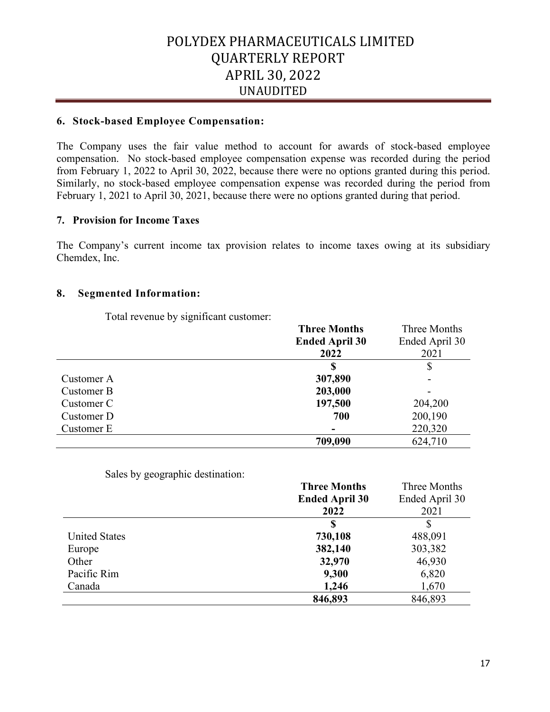## **6. Stock-based Employee Compensation:**

The Company uses the fair value method to account for awards of stock-based employee compensation. No stock-based employee compensation expense was recorded during the period from February 1, 2022 to April 30, 2022, because there were no options granted during this period. Similarly, no stock-based employee compensation expense was recorded during the period from February 1, 2021 to April 30, 2021, because there were no options granted during that period.

## **7. Provision for Income Taxes**

The Company's current income tax provision relates to income taxes owing at its subsidiary Chemdex, Inc.

## **8. Segmented Information:**

Total revenue by significant customer:

|            | <b>Three Months</b>   | Three Months   |
|------------|-----------------------|----------------|
|            | <b>Ended April 30</b> | Ended April 30 |
|            | 2022                  | 2021           |
|            | S                     |                |
| Customer A | 307,890               |                |
| Customer B | 203,000               |                |
| Customer C | 197,500               | 204,200        |
| Customer D | 700                   | 200,190        |
| Customer E |                       | 220,320        |
|            | 709,090               | 624,710        |

Sales by geographic destination:

|                      | <b>Three Months</b>   | Three Months   |
|----------------------|-----------------------|----------------|
|                      | <b>Ended April 30</b> | Ended April 30 |
|                      | 2022                  | 2021           |
|                      | S                     |                |
| <b>United States</b> | 730,108               | 488,091        |
| Europe               | 382,140               | 303,382        |
| Other                | 32,970                | 46,930         |
| Pacific Rim          | 9,300                 | 6,820          |
| Canada               | 1,246                 | 1,670          |
|                      | 846,893               | 846,893        |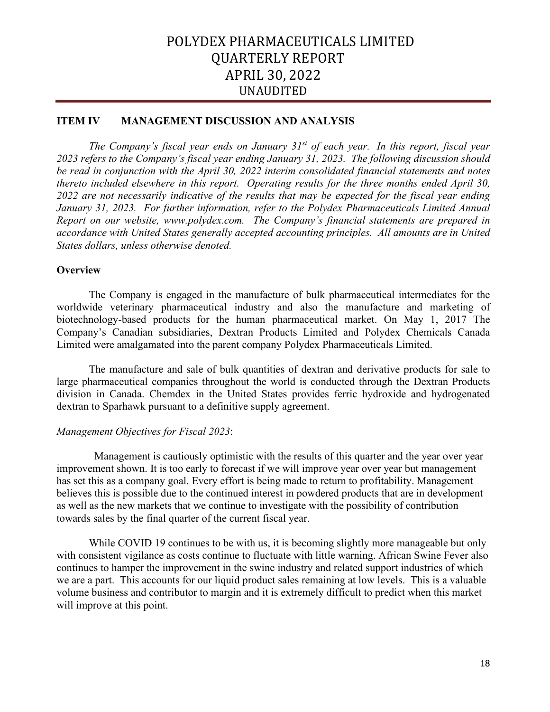## **ITEM IV MANAGEMENT DISCUSSION AND ANALYSIS**

*The Company's fiscal year ends on January 31st of each year. In this report, fiscal year 2023 refers to the Company's fiscal year ending January 31, 2023. The following discussion should be read in conjunction with the April 30, 2022 interim consolidated financial statements and notes thereto included elsewhere in this report. Operating results for the three months ended April 30, 2022 are not necessarily indicative of the results that may be expected for the fiscal year ending January 31, 2023. For further information, refer to the Polydex Pharmaceuticals Limited Annual Report on our website, www.polydex.com. The Company's financial statements are prepared in accordance with United States generally accepted accounting principles. All amounts are in United States dollars, unless otherwise denoted.*

#### **Overview**

The Company is engaged in the manufacture of bulk pharmaceutical intermediates for the worldwide veterinary pharmaceutical industry and also the manufacture and marketing of biotechnology-based products for the human pharmaceutical market. On May 1, 2017 The Company's Canadian subsidiaries, Dextran Products Limited and Polydex Chemicals Canada Limited were amalgamated into the parent company Polydex Pharmaceuticals Limited.

The manufacture and sale of bulk quantities of dextran and derivative products for sale to large pharmaceutical companies throughout the world is conducted through the Dextran Products division in Canada. Chemdex in the United States provides ferric hydroxide and hydrogenated dextran to Sparhawk pursuant to a definitive supply agreement.

## *Management Objectives for Fiscal 2023*:

 Management is cautiously optimistic with the results of this quarter and the year over year improvement shown. It is too early to forecast if we will improve year over year but management has set this as a company goal. Every effort is being made to return to profitability. Management believes this is possible due to the continued interest in powdered products that are in development as well as the new markets that we continue to investigate with the possibility of contribution towards sales by the final quarter of the current fiscal year.

While COVID 19 continues to be with us, it is becoming slightly more manageable but only with consistent vigilance as costs continue to fluctuate with little warning. African Swine Fever also continues to hamper the improvement in the swine industry and related support industries of which we are a part. This accounts for our liquid product sales remaining at low levels. This is a valuable volume business and contributor to margin and it is extremely difficult to predict when this market will improve at this point.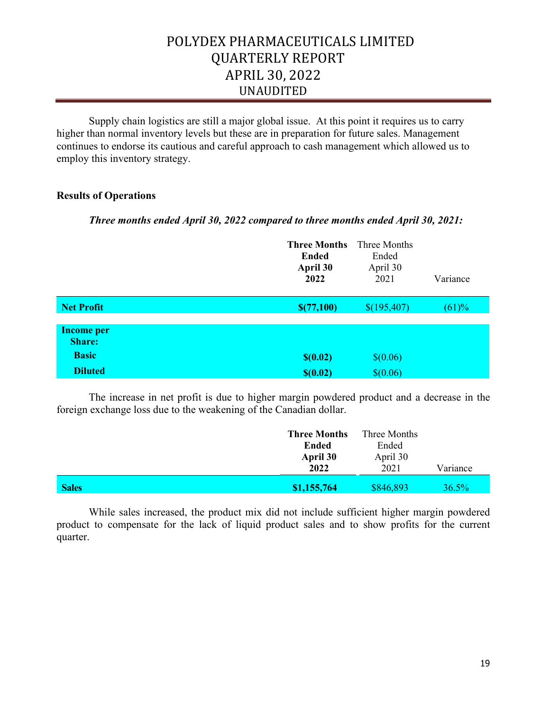Supply chain logistics are still a major global issue. At this point it requires us to carry higher than normal inventory levels but these are in preparation for future sales. Management continues to endorse its cautious and careful approach to cash management which allowed us to employ this inventory strategy.

## **Results of Operations**

## *Three months ended April 30, 2022 compared to three months ended April 30, 2021:*

|                                    | <b>Three Months</b><br><b>Ended</b><br>April 30<br>2022 | Three Months<br>Ended<br>April 30<br>2021 | Variance |
|------------------------------------|---------------------------------------------------------|-------------------------------------------|----------|
| <b>Net Profit</b>                  | \$(77,100)                                              | \$(195,407)                               | (61)%    |
| <b>Income per</b><br><b>Share:</b> |                                                         |                                           |          |
| <b>Basic</b>                       | \$(0.02)                                                | \$(0.06)                                  |          |
| <b>Diluted</b>                     | \$(0.02)                                                | \$(0.06)                                  |          |

The increase in net profit is due to higher margin powdered product and a decrease in the foreign exchange loss due to the weakening of the Canadian dollar.

|              | <b>Three Months</b><br>Ended<br>April 30<br>2022 | Three Months<br>Ended<br>April 30<br>2021 | Variance |
|--------------|--------------------------------------------------|-------------------------------------------|----------|
| <b>Sales</b> | \$1,155,764                                      | \$846,893                                 | 36.5%    |

While sales increased, the product mix did not include sufficient higher margin powdered product to compensate for the lack of liquid product sales and to show profits for the current quarter.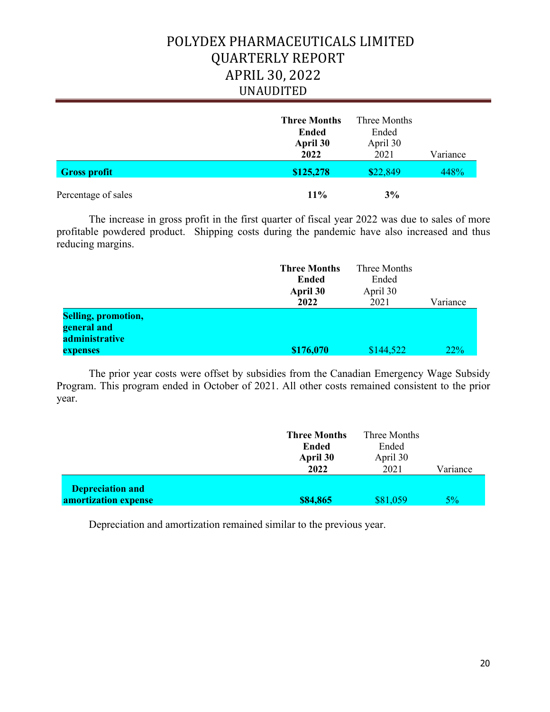|                     | <b>Three Months</b><br><b>Ended</b><br>April 30<br>2022 | Three Months<br>Ended<br>April 30<br>2021 | Variance |
|---------------------|---------------------------------------------------------|-------------------------------------------|----------|
| <b>Gross profit</b> | \$125,278                                               | \$22,849                                  | 448%     |
| Percentage of sales | $11\%$                                                  | 3%                                        |          |

The increase in gross profit in the first quarter of fiscal year 2022 was due to sales of more profitable powdered product. Shipping costs during the pandemic have also increased and thus reducing margins.

|                            | <b>Three Months</b> | Three Months |          |
|----------------------------|---------------------|--------------|----------|
|                            | Ended               | Ended        |          |
|                            | April 30            | April 30     |          |
|                            | 2022                | 2021         | Variance |
| <b>Selling, promotion,</b> |                     |              |          |
| general and                |                     |              |          |
| administrative             |                     |              |          |
| expenses                   | \$176,070           | \$144,522    | 22%      |

The prior year costs were offset by subsidies from the Canadian Emergency Wage Subsidy Program. This program ended in October of 2021. All other costs remained consistent to the prior year.

|                         | <b>Three Months</b><br>Ended<br>April 30 | Three Months<br>Ended<br>April 30 |          |
|-------------------------|------------------------------------------|-----------------------------------|----------|
| <b>Depreciation and</b> | 2022                                     | 2021                              | Variance |
| amortization expense    | \$84,865                                 | \$81,059                          | $5\%$    |

Depreciation and amortization remained similar to the previous year.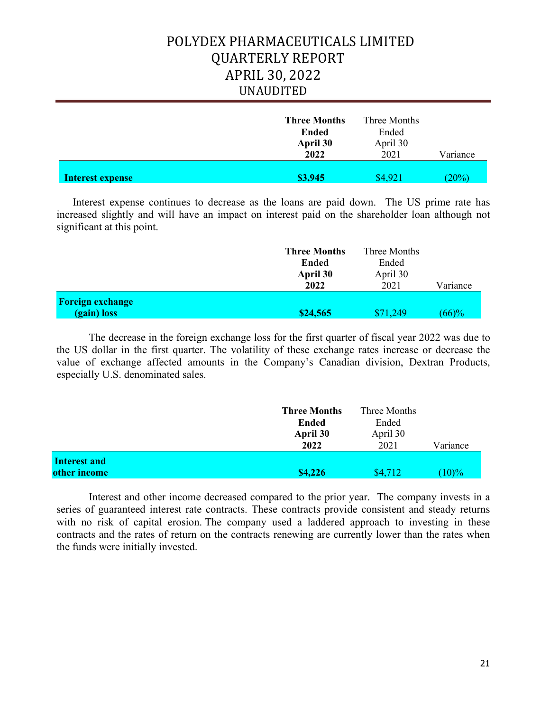|                         | <b>Three Months</b><br><b>Ended</b><br>April 30<br>2022 | Three Months<br>Ended<br>April 30<br>2021 | Variance |
|-------------------------|---------------------------------------------------------|-------------------------------------------|----------|
| <b>Interest expense</b> | \$3,945                                                 | \$4,921                                   | (20%)    |

Interest expense continues to decrease as the loans are paid down. The US prime rate has increased slightly and will have an impact on interest paid on the shareholder loan although not significant at this point.

|                         | <b>Three Months</b>              | Three Months<br>Ended<br>April 30<br>2021 | Variance |
|-------------------------|----------------------------------|-------------------------------------------|----------|
|                         | <b>Ended</b><br>April 30<br>2022 |                                           |          |
|                         |                                  |                                           |          |
|                         |                                  |                                           |          |
| <b>Foreign exchange</b> |                                  |                                           |          |
| (gain) loss             | \$24,565                         | \$71,249                                  | (66)%    |

The decrease in the foreign exchange loss for the first quarter of fiscal year 2022 was due to the US dollar in the first quarter. The volatility of these exchange rates increase or decrease the value of exchange affected amounts in the Company's Canadian division, Dextran Products, especially U.S. denominated sales.

|                              | <b>Three Months</b><br><b>Ended</b><br>April 30<br>2022 | Three Months<br>Ended<br>April 30<br>2021 | Variance |
|------------------------------|---------------------------------------------------------|-------------------------------------------|----------|
| Interest and<br>other income | \$4,226                                                 | \$4,712                                   | $(10)\%$ |

Interest and other income decreased compared to the prior year. The company invests in a series of guaranteed interest rate contracts. These contracts provide consistent and steady returns with no risk of capital erosion. The company used a laddered approach to investing in these contracts and the rates of return on the contracts renewing are currently lower than the rates when the funds were initially invested.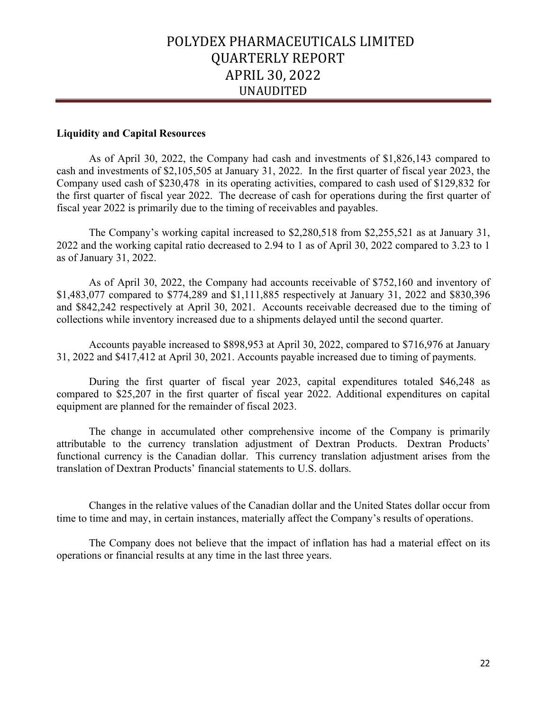#### **Liquidity and Capital Resources**

As of April 30, 2022, the Company had cash and investments of \$1,826,143 compared to cash and investments of \$2,105,505 at January 31, 2022. In the first quarter of fiscal year 2023, the Company used cash of \$230,478 in its operating activities, compared to cash used of \$129,832 for the first quarter of fiscal year 2022. The decrease of cash for operations during the first quarter of fiscal year 2022 is primarily due to the timing of receivables and payables.

The Company's working capital increased to \$2,280,518 from \$2,255,521 as at January 31, 2022 and the working capital ratio decreased to 2.94 to 1 as of April 30, 2022 compared to 3.23 to 1 as of January 31, 2022.

As of April 30, 2022, the Company had accounts receivable of \$752,160 and inventory of \$1,483,077 compared to \$774,289 and \$1,111,885 respectively at January 31, 2022 and \$830,396 and \$842,242 respectively at April 30, 2021. Accounts receivable decreased due to the timing of collections while inventory increased due to a shipments delayed until the second quarter.

Accounts payable increased to \$898,953 at April 30, 2022, compared to \$716,976 at January 31, 2022 and \$417,412 at April 30, 2021. Accounts payable increased due to timing of payments.

During the first quarter of fiscal year 2023, capital expenditures totaled \$46,248 as compared to \$25,207 in the first quarter of fiscal year 2022. Additional expenditures on capital equipment are planned for the remainder of fiscal 2023.

The change in accumulated other comprehensive income of the Company is primarily attributable to the currency translation adjustment of Dextran Products. Dextran Products' functional currency is the Canadian dollar. This currency translation adjustment arises from the translation of Dextran Products' financial statements to U.S. dollars.

Changes in the relative values of the Canadian dollar and the United States dollar occur from time to time and may, in certain instances, materially affect the Company's results of operations.

The Company does not believe that the impact of inflation has had a material effect on its operations or financial results at any time in the last three years.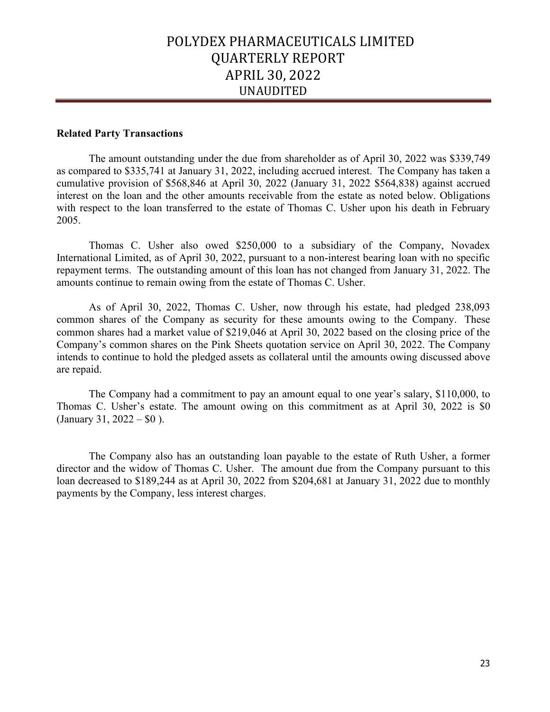#### **Related Party Transactions**

The amount outstanding under the due from shareholder as of April 30, 2022 was \$339,749 as compared to \$335,741 at January 31, 2022, including accrued interest. The Company has taken a cumulative provision of \$568,846 at April 30, 2022 (January 31, 2022 \$564,838) against accrued interest on the loan and the other amounts receivable from the estate as noted below. Obligations with respect to the loan transferred to the estate of Thomas C. Usher upon his death in February 2005.

Thomas C. Usher also owed \$250,000 to a subsidiary of the Company, Novadex International Limited, as of April 30, 2022, pursuant to a non-interest bearing loan with no specific repayment terms. The outstanding amount of this loan has not changed from January 31, 2022. The amounts continue to remain owing from the estate of Thomas C. Usher.

As of April 30, 2022, Thomas C. Usher, now through his estate, had pledged 238,093 common shares of the Company as security for these amounts owing to the Company. These common shares had a market value of \$219,046 at April 30, 2022 based on the closing price of the Company's common shares on the Pink Sheets quotation service on April 30, 2022. The Company intends to continue to hold the pledged assets as collateral until the amounts owing discussed above are repaid.

The Company had a commitment to pay an amount equal to one year's salary, \$110,000, to Thomas C. Usher's estate. The amount owing on this commitment as at April 30, 2022 is \$0 (January 31,  $2022 - 0$ ).

The Company also has an outstanding loan payable to the estate of Ruth Usher, a former director and the widow of Thomas C. Usher. The amount due from the Company pursuant to this loan decreased to \$189,244 as at April 30, 2022 from \$204,681 at January 31, 2022 due to monthly payments by the Company, less interest charges.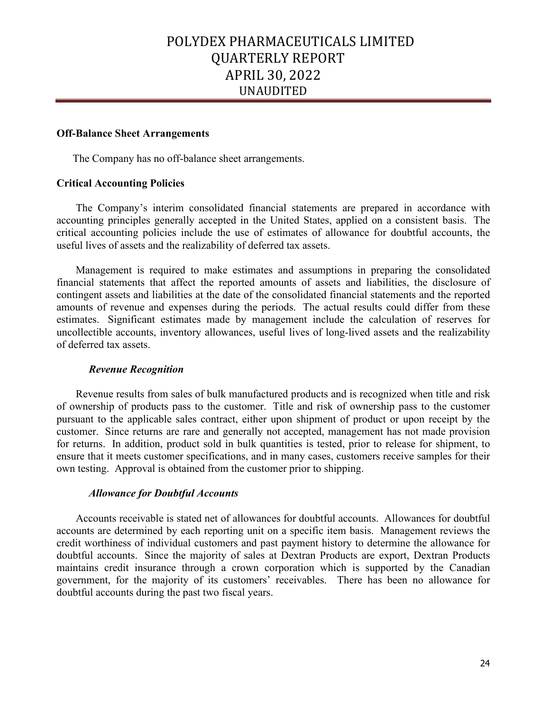#### **Off-Balance Sheet Arrangements**

The Company has no off-balance sheet arrangements.

## **Critical Accounting Policies**

The Company's interim consolidated financial statements are prepared in accordance with accounting principles generally accepted in the United States, applied on a consistent basis. The critical accounting policies include the use of estimates of allowance for doubtful accounts, the useful lives of assets and the realizability of deferred tax assets.

Management is required to make estimates and assumptions in preparing the consolidated financial statements that affect the reported amounts of assets and liabilities, the disclosure of contingent assets and liabilities at the date of the consolidated financial statements and the reported amounts of revenue and expenses during the periods. The actual results could differ from these estimates. Significant estimates made by management include the calculation of reserves for uncollectible accounts, inventory allowances, useful lives of long-lived assets and the realizability of deferred tax assets.

#### *Revenue Recognition*

Revenue results from sales of bulk manufactured products and is recognized when title and risk of ownership of products pass to the customer. Title and risk of ownership pass to the customer pursuant to the applicable sales contract, either upon shipment of product or upon receipt by the customer. Since returns are rare and generally not accepted, management has not made provision for returns. In addition, product sold in bulk quantities is tested, prior to release for shipment, to ensure that it meets customer specifications, and in many cases, customers receive samples for their own testing. Approval is obtained from the customer prior to shipping.

#### *Allowance for Doubtful Accounts*

Accounts receivable is stated net of allowances for doubtful accounts. Allowances for doubtful accounts are determined by each reporting unit on a specific item basis. Management reviews the credit worthiness of individual customers and past payment history to determine the allowance for doubtful accounts. Since the majority of sales at Dextran Products are export, Dextran Products maintains credit insurance through a crown corporation which is supported by the Canadian government, for the majority of its customers' receivables. There has been no allowance for doubtful accounts during the past two fiscal years.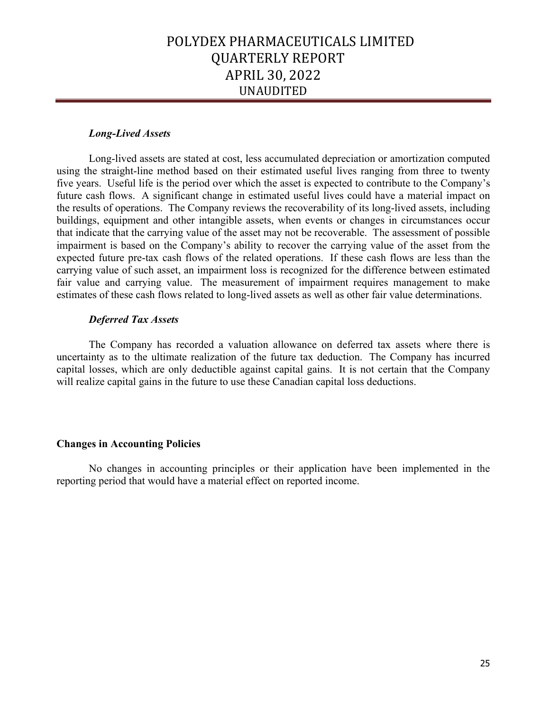## *Long-Lived Assets*

Long-lived assets are stated at cost, less accumulated depreciation or amortization computed using the straight-line method based on their estimated useful lives ranging from three to twenty five years. Useful life is the period over which the asset is expected to contribute to the Company's future cash flows. A significant change in estimated useful lives could have a material impact on the results of operations. The Company reviews the recoverability of its long-lived assets, including buildings, equipment and other intangible assets, when events or changes in circumstances occur that indicate that the carrying value of the asset may not be recoverable. The assessment of possible impairment is based on the Company's ability to recover the carrying value of the asset from the expected future pre-tax cash flows of the related operations. If these cash flows are less than the carrying value of such asset, an impairment loss is recognized for the difference between estimated fair value and carrying value. The measurement of impairment requires management to make estimates of these cash flows related to long-lived assets as well as other fair value determinations.

#### *Deferred Tax Assets*

The Company has recorded a valuation allowance on deferred tax assets where there is uncertainty as to the ultimate realization of the future tax deduction. The Company has incurred capital losses, which are only deductible against capital gains. It is not certain that the Company will realize capital gains in the future to use these Canadian capital loss deductions.

## **Changes in Accounting Policies**

No changes in accounting principles or their application have been implemented in the reporting period that would have a material effect on reported income.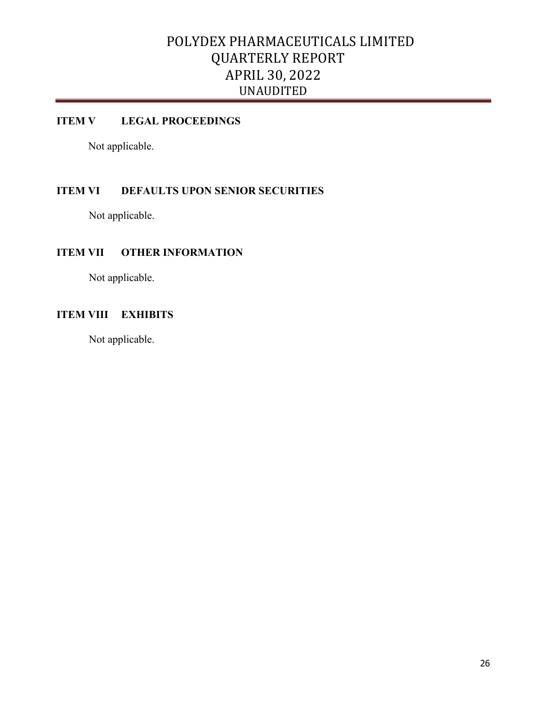## **ITEM V LEGAL PROCEEDINGS**

Not applicable.

## **ITEM VI DEFAULTS UPON SENIOR SECURITIES**

Not applicable.

## **ITEM VII OTHER INFORMATION**

Not applicable.

## **ITEM VIII EXHIBITS**

Not applicable.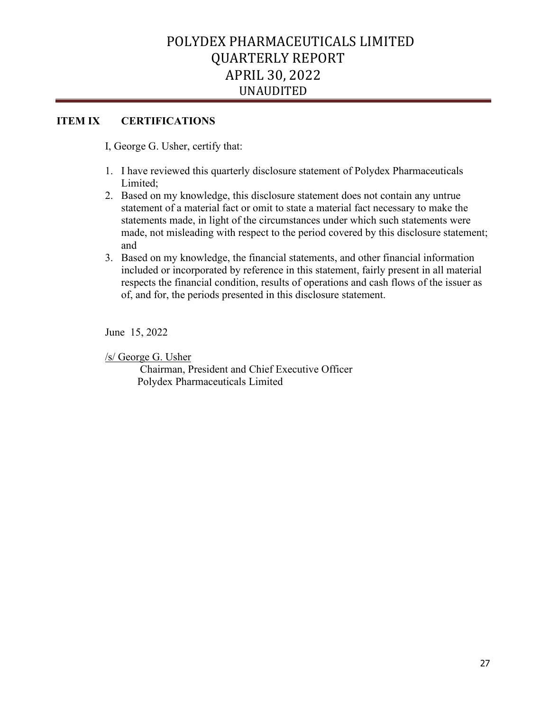## **ITEM IX CERTIFICATIONS**

I, George G. Usher, certify that:

- 1. I have reviewed this quarterly disclosure statement of Polydex Pharmaceuticals Limited;
- 2. Based on my knowledge, this disclosure statement does not contain any untrue statement of a material fact or omit to state a material fact necessary to make the statements made, in light of the circumstances under which such statements were made, not misleading with respect to the period covered by this disclosure statement; and
- 3. Based on my knowledge, the financial statements, and other financial information included or incorporated by reference in this statement, fairly present in all material respects the financial condition, results of operations and cash flows of the issuer as of, and for, the periods presented in this disclosure statement.

June 15, 2022

/s/ George G. Usher

 Chairman, President and Chief Executive Officer Polydex Pharmaceuticals Limited